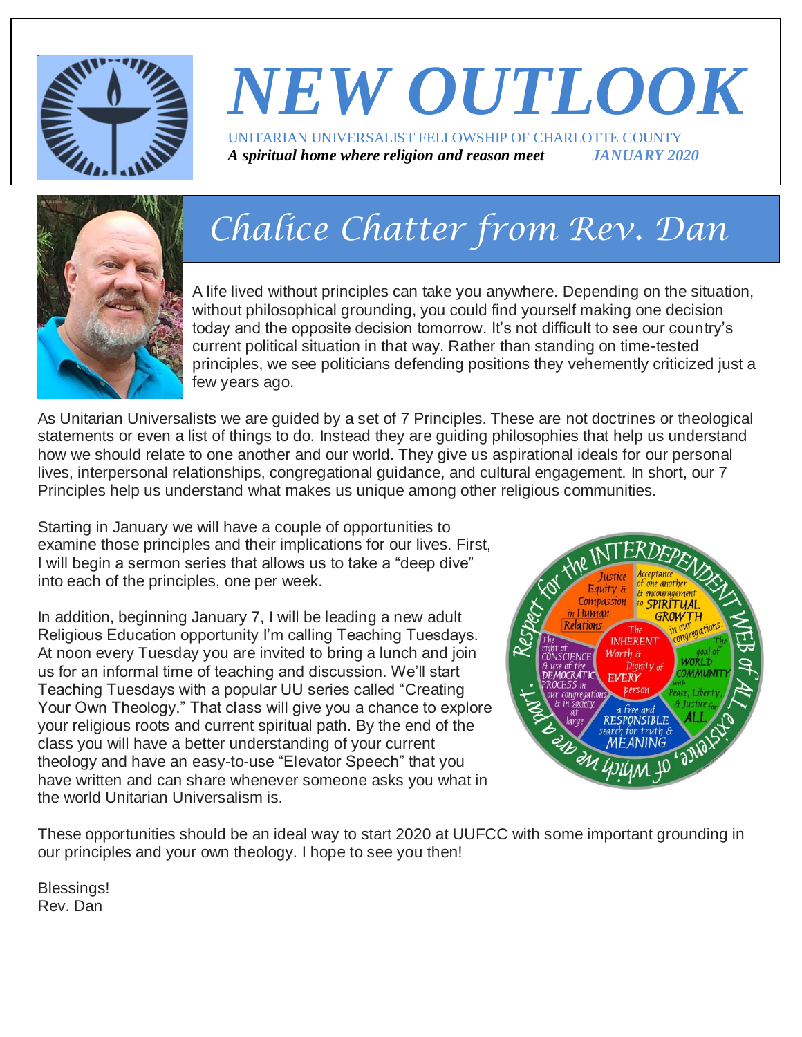

# *NEW OUTLOOK* UNITARIAN UNIVERSALIST FELLOWSHIP OF CHARLOTTE COUNTY *A spiritual home where religion and reason meet JANUARY 2020*

# *Chalice Chatter from Rev. Dan*

A life lived without principles can take you anywhere. Depending on the situation, without philosophical grounding, you could find yourself making one decision today and the opposite decision tomorrow. It's not difficult to see our country's current political situation in that way. Rather than standing on time-tested principles, we see politicians defending positions they vehemently criticized just a few years ago.

As Unitarian Universalists we are guided by a set of 7 Principles. These are not doctrines or theological statements or even a list of things to do. Instead they are guiding philosophies that help us understand how we should relate to one another and our world. They give us aspirational ideals for our personal lives, interpersonal relationships, congregational guidance, and cultural engagement. In short, our 7 Principles help us understand what makes us unique among other religious communities.

Starting in January we will have a couple of opportunities to examine those principles and their implications for our lives. First, I will begin a sermon series that allows us to take a "deep dive" into each of the principles, one per week.

In addition, beginning January 7, I will be leading a new adult Religious Education opportunity I'm calling Teaching Tuesdays. At noon every Tuesday you are invited to bring a lunch and join us for an informal time of teaching and discussion. We'll start Teaching Tuesdays with a popular UU series called "Creating Your Own Theology." That class will give you a chance to explore your religious roots and current spiritual path. By the end of the class you will have a better understanding of your current theology and have an easy-to-use "Elevator Speech" that you have written and can share whenever someone asks you what in the world Unitarian Universalism is.



These opportunities should be an ideal way to start 2020 at UUFCC with some important grounding in our principles and your own theology. I hope to see you then!

Blessings! Rev. Dan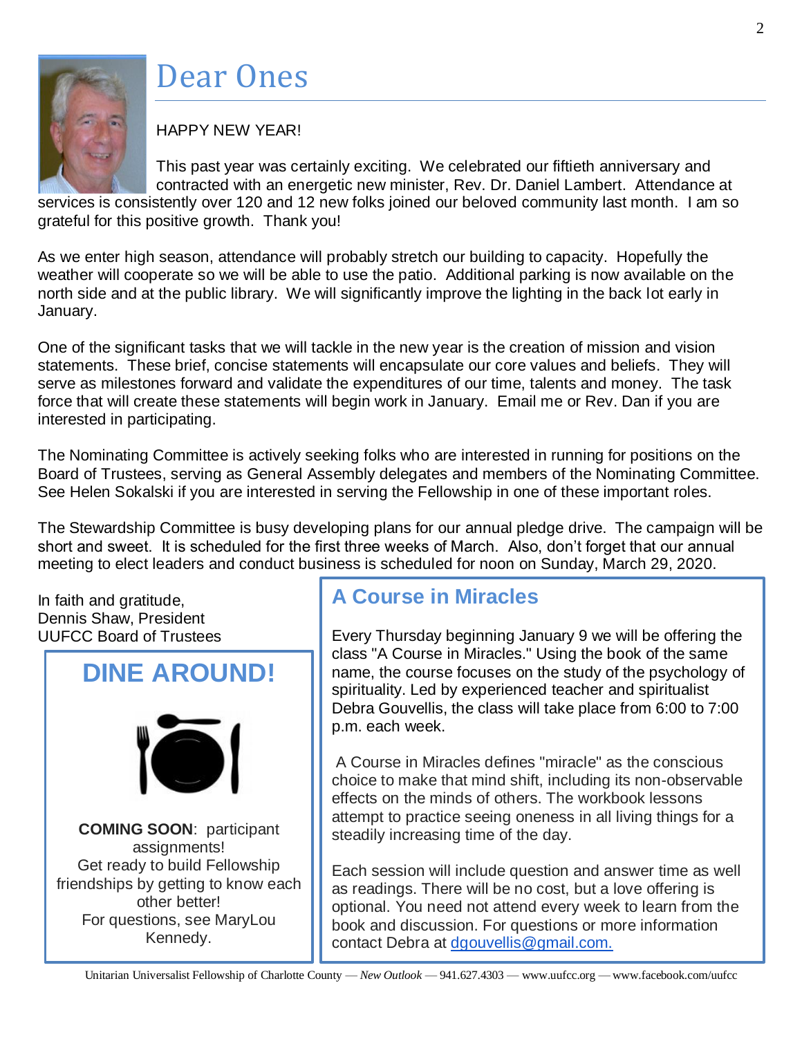

# Dear Ones

# HAPPY NEW YEAR!

This past year was certainly exciting. We celebrated our fiftieth anniversary and contracted with an energetic new minister, Rev. Dr. Daniel Lambert. Attendance at

services is consistently over 120 and 12 new folks joined our beloved community last month. I am so grateful for this positive growth. Thank you!

As we enter high season, attendance will probably stretch our building to capacity. Hopefully the weather will cooperate so we will be able to use the patio. Additional parking is now available on the north side and at the public library. We will significantly improve the lighting in the back lot early in January.

One of the significant tasks that we will tackle in the new year is the creation of mission and vision statements. These brief, concise statements will encapsulate our core values and beliefs. They will serve as milestones forward and validate the expenditures of our time, talents and money. The task force that will create these statements will begin work in January. Email me or Rev. Dan if you are interested in participating.

The Nominating Committee is actively seeking folks who are interested in running for positions on the Board of Trustees, serving as General Assembly delegates and members of the Nominating Committee. See Helen Sokalski if you are interested in serving the Fellowship in one of these important roles.

The Stewardship Committee is busy developing plans for our annual pledge drive. The campaign will be short and sweet. It is scheduled for the first three weeks of March. Also, don't forget that our annual meeting to elect leaders and conduct business is scheduled for noon on Sunday, March 29, 2020.

In faith and gratitude, Dennis Shaw, President UUFCC Board of Trustees



# **A Course in Miracles**

Every Thursday beginning January 9 we will be offering the class "A Course in Miracles." Using the book of the same name, the course focuses on the study of the psychology of spirituality. Led by experienced teacher and spiritualist Debra Gouvellis, the class will take place from 6:00 to 7:00 p.m. each week.

A Course in Miracles defines "miracle" as the conscious choice to make that mind shift, including its non-observable effects on the minds of others. The workbook lessons attempt to practice seeing oneness in all living things for a steadily increasing time of the day.

Each session will include question and answer time as well as readings. There will be no cost, but a love offering is optional. You need not attend every week to learn from the book and discussion. For questions or more information contact Debra at [dgouvellis@gmail.com.](mailto:dgouvellis@gmail.com)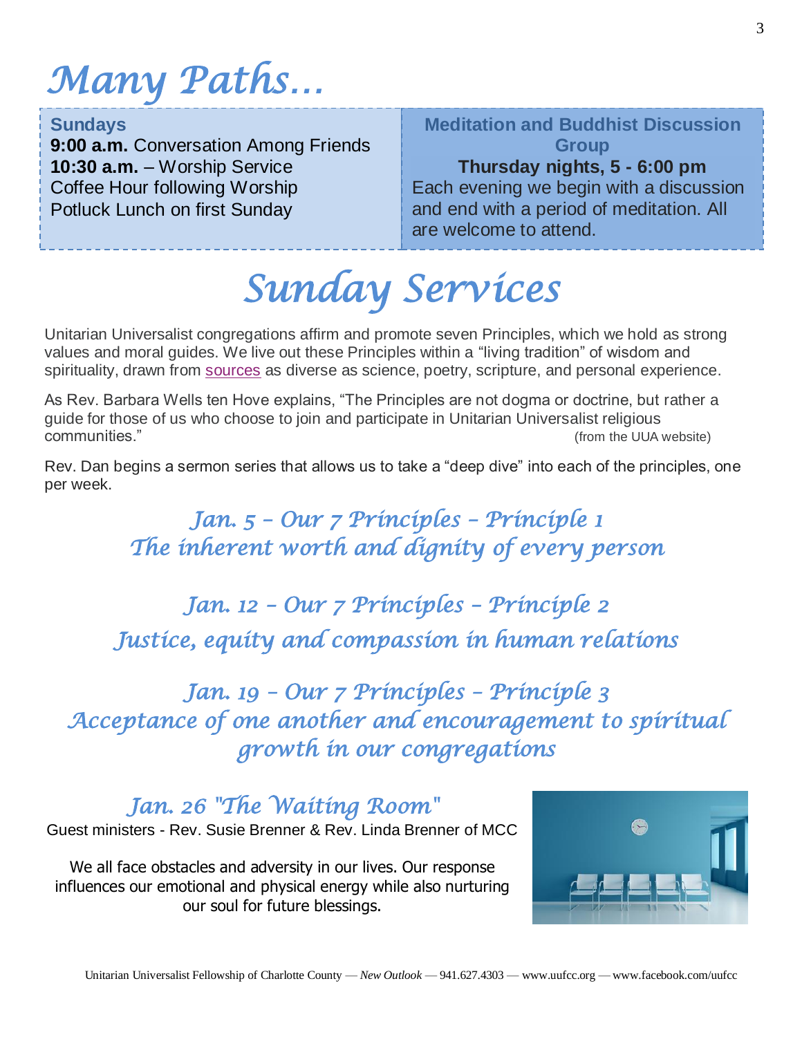# *Many Paths…*

### **Sundays**

**9:00 a.m.** Conversation Among Friends **10:30 a.m.** – Worship Service Coffee Hour following Worship Potluck Lunch on first Sunday

# **Meditation and Buddhist Discussion Group**

# **Thursday nights, 5 - 6:00 pm**

 $\overline{ \cdot }$ Each evening we begin with a discussion and end with a period of meditation. All are welcome to attend.

*Sunday Services* 

Unitarian Universalist congregations affirm and promote seven Principles, which we hold as strong values and moral guides. We live out these Principles within a "living tradition" of wisdom and spirituality, drawn from [sources](https://www.uua.org/beliefs/what-we-believe/sources) as diverse as science, poetry, scripture, and personal experience.

As Rev. Barbara Wells ten Hove explains, "The Principles are not dogma or doctrine, but rather a guide for those of us who choose to join and participate in Unitarian Universalist religious communities." (from the UUA website)

Rev. Dan begins a sermon series that allows us to take a "deep dive" into each of the principles, one per week.

> *Jan. 5 – Our 7 Principles – Principle 1 The inherent worth and dignity of every person*

*Jan. 12 – Our 7 Principles – Principle 2 Justice, equity and compassion in human relations* 

*Jan. 19 – Our 7 Principles – Principle 3 Acceptance of one another and encouragement to spiritual growth in our congregations* 

*Jan. 26 "The Waiting Room"*  Guest ministers - Rev. Susie Brenner & Rev. Linda Brenner of MCC

We all face obstacles and adversity in our lives. Our response influences our emotional and physical energy while also nurturing our soul for future blessings.

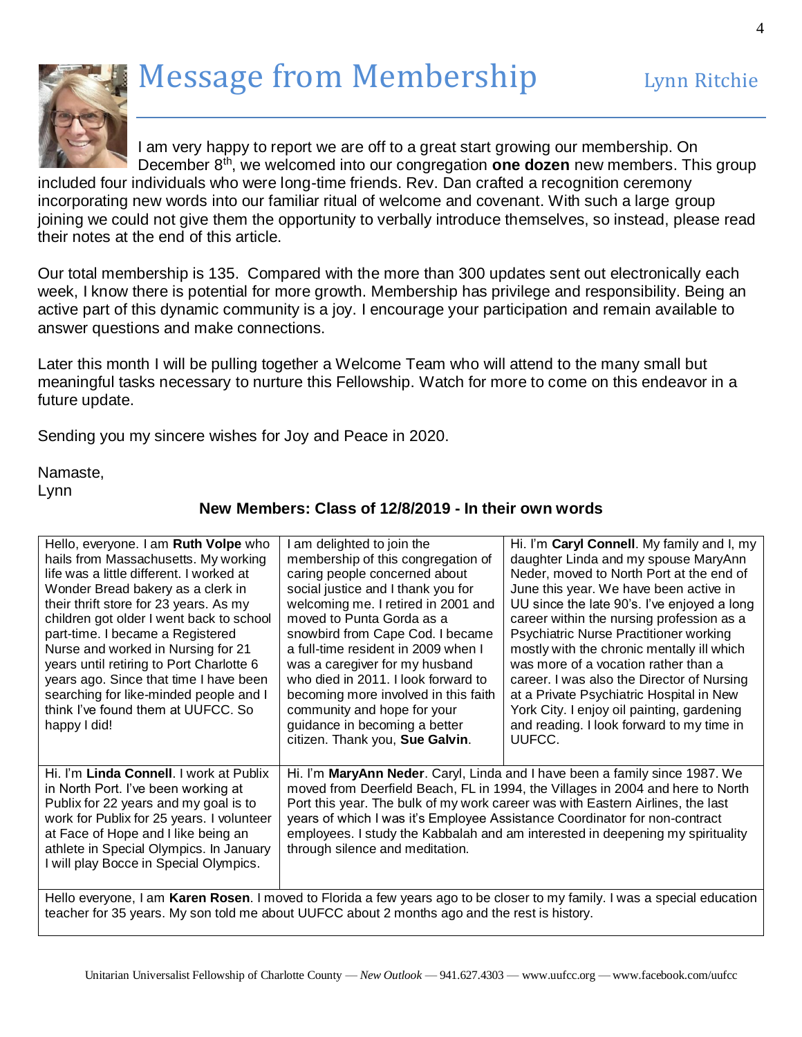# Message from Membership Lynn Ritchie



I am very happy to report we are off to a great start growing our membership. On December 8th, we welcomed into our congregation **one dozen** new members. This group

included four individuals who were long-time friends. Rev. Dan crafted a recognition ceremony incorporating new words into our familiar ritual of welcome and covenant. With such a large group joining we could not give them the opportunity to verbally introduce themselves, so instead, please read their notes at the end of this article.

Our total membership is 135. Compared with the more than 300 updates sent out electronically each week, I know there is potential for more growth. Membership has privilege and responsibility. Being an active part of this dynamic community is a joy. I encourage your participation and remain available to answer questions and make connections.

Later this month I will be pulling together a Welcome Team who will attend to the many small but meaningful tasks necessary to nurture this Fellowship. Watch for more to come on this endeavor in a future update.

Sending you my sincere wishes for Joy and Peace in 2020.

Namaste, Lynn

| Hello, everyone. I am Ruth Volpe who<br>hails from Massachusetts. My working<br>life was a little different. I worked at<br>Wonder Bread bakery as a clerk in<br>their thrift store for 23 years. As my<br>children got older I went back to school<br>part-time. I became a Registered<br>Nurse and worked in Nursing for 21<br>years until retiring to Port Charlotte 6<br>years ago. Since that time I have been<br>searching for like-minded people and I<br>think I've found them at UUFCC. So<br>happy I did! | am delighted to join the<br>membership of this congregation of<br>caring people concerned about<br>social justice and I thank you for<br>welcoming me. I retired in 2001 and<br>moved to Punta Gorda as a<br>snowbird from Cape Cod. I became<br>a full-time resident in 2009 when I<br>was a caregiver for my husband<br>who died in 2011. I look forward to<br>becoming more involved in this faith<br>community and hope for your<br>guidance in becoming a better<br>citizen. Thank you, Sue Galvin. | Hi. I'm Caryl Connell. My family and I, my<br>daughter Linda and my spouse MaryAnn<br>Neder, moved to North Port at the end of<br>June this year. We have been active in<br>UU since the late 90's. I've enjoyed a long<br>career within the nursing profession as a<br>Psychiatric Nurse Practitioner working<br>mostly with the chronic mentally ill which<br>was more of a vocation rather than a<br>career. I was also the Director of Nursing<br>at a Private Psychiatric Hospital in New<br>York City. I enjoy oil painting, gardening<br>and reading. I look forward to my time in<br>UUFCC. |
|---------------------------------------------------------------------------------------------------------------------------------------------------------------------------------------------------------------------------------------------------------------------------------------------------------------------------------------------------------------------------------------------------------------------------------------------------------------------------------------------------------------------|----------------------------------------------------------------------------------------------------------------------------------------------------------------------------------------------------------------------------------------------------------------------------------------------------------------------------------------------------------------------------------------------------------------------------------------------------------------------------------------------------------|-----------------------------------------------------------------------------------------------------------------------------------------------------------------------------------------------------------------------------------------------------------------------------------------------------------------------------------------------------------------------------------------------------------------------------------------------------------------------------------------------------------------------------------------------------------------------------------------------------|
| Hi. I'm Linda Connell. I work at Publix<br>in North Port. I've been working at<br>Publix for 22 years and my goal is to<br>work for Publix for 25 years. I volunteer<br>at Face of Hope and I like being an<br>athlete in Special Olympics. In January<br>I will play Bocce in Special Olympics.                                                                                                                                                                                                                    | Hi. I'm MaryAnn Neder. Caryl, Linda and I have been a family since 1987. We<br>moved from Deerfield Beach, FL in 1994, the Villages in 2004 and here to North<br>Port this year. The bulk of my work career was with Eastern Airlines, the last<br>years of which I was it's Employee Assistance Coordinator for non-contract<br>employees. I study the Kabbalah and am interested in deepening my spirituality<br>through silence and meditation.                                                       |                                                                                                                                                                                                                                                                                                                                                                                                                                                                                                                                                                                                     |
| Hello evenigne I am Karen Rosen I moved to Florida a few vears ago to be closer to my family I was a special education                                                                                                                                                                                                                                                                                                                                                                                              |                                                                                                                                                                                                                                                                                                                                                                                                                                                                                                          |                                                                                                                                                                                                                                                                                                                                                                                                                                                                                                                                                                                                     |

### **New Members: Class of 12/8/2019 - In their own words**

Hello everyone, I am **Karen Rosen**. I moved to Florida a few years ago to be closer to my family. I was a special education teacher for 35 years. My son told me about UUFCC about 2 months ago and the rest is history.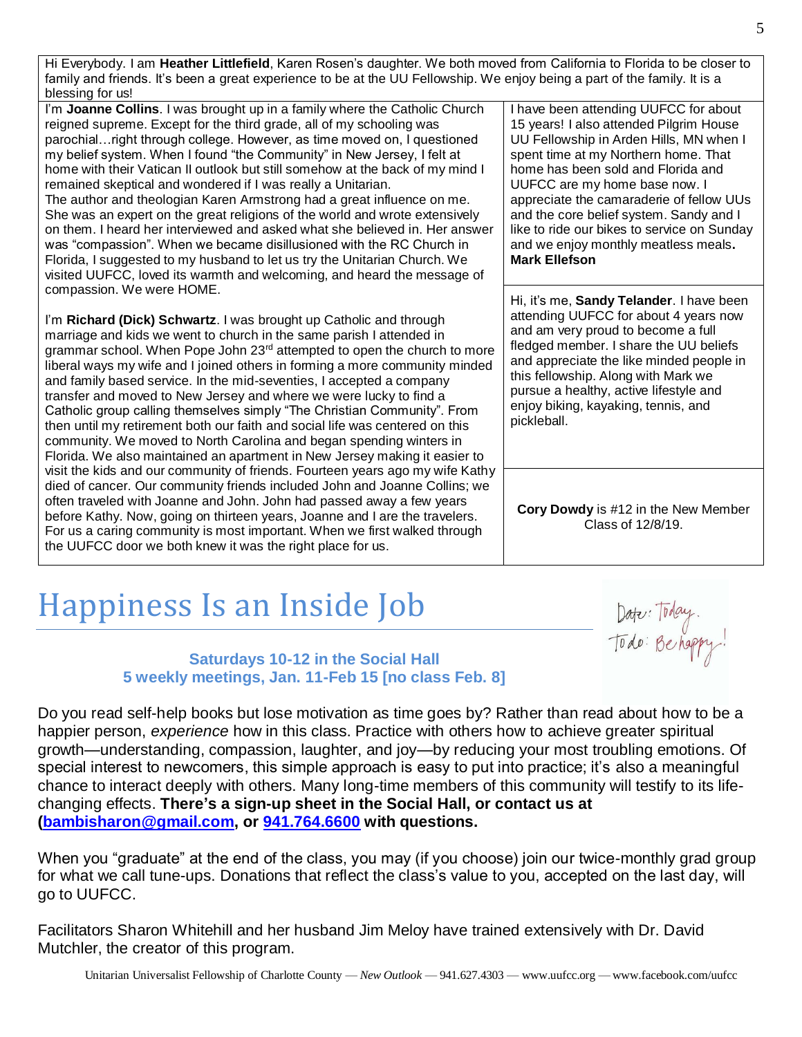Hi Everybody. I am **Heather Littlefield**, Karen Rosen's daughter. We both moved from California to Florida to be closer to family and friends. It's been a great experience to be at the UU Fellowship. We enjoy being a part of the family. It is a blessing for us!

I'm **Joanne Collins**. I was brought up in a family where the Catholic Church reigned supreme. Except for the third grade, all of my schooling was parochial…right through college. However, as time moved on, I questioned my belief system. When I found "the Community" in New Jersey, I felt at home with their Vatican II outlook but still somehow at the back of my mind I remained skeptical and wondered if I was really a Unitarian.

The author and theologian Karen Armstrong had a great influence on me. She was an expert on the great religions of the world and wrote extensively on them. I heard her interviewed and asked what she believed in. Her answer was "compassion". When we became disillusioned with the RC Church in Florida, I suggested to my husband to let us try the Unitarian Church. We visited UUFCC, loved its warmth and welcoming, and heard the message of compassion. We were HOME.

I'm **Richard (Dick) Schwartz**. I was brought up Catholic and through marriage and kids we went to church in the same parish I attended in grammar school. When Pope John 23<sup>rd</sup> attempted to open the church to more liberal ways my wife and I joined others in forming a more community minded and family based service. In the mid-seventies, I accepted a company transfer and moved to New Jersey and where we were lucky to find a Catholic group calling themselves simply "The Christian Community". From then until my retirement both our faith and social life was centered on this community. We moved to North Carolina and began spending winters in Florida. We also maintained an apartment in New Jersey making it easier to visit the kids and our community of friends. Fourteen years ago my wife Kathy died of cancer. Our community friends included John and Joanne Collins; we often traveled with Joanne and John. John had passed away a few years before Kathy. Now, going on thirteen years, Joanne and I are the travelers. For us a caring community is most important. When we first walked through the UUFCC door we both knew it was the right place for us.

I have been attending UUFCC for about 15 years! I also attended Pilgrim House UU Fellowship in Arden Hills, MN when I spent time at my Northern home. That home has been sold and Florida and UUFCC are my home base now. I appreciate the camaraderie of fellow UUs and the core belief system. Sandy and I like to ride our bikes to service on Sunday and we enjoy monthly meatless meals**. Mark Ellefson**

Hi, it's me, **Sandy Telander**. I have been attending UUFCC for about 4 years now and am very proud to become a full fledged member. I share the UU beliefs and appreciate the like minded people in this fellowship. Along with Mark we pursue a healthy, active lifestyle and enjoy biking, kayaking, tennis, and pickleball.

**Cory Dowdy** is #12 in the New Member Class of 12/8/19.

# Happiness Is an Inside Job

Date: Today.<br>Todo: Be happy!

### **Saturdays 10-12 in the Social Hall 5 weekly meetings, Jan. 11-Feb 15 [no class Feb. 8]**

Do you read self-help books but lose motivation as time goes by? Rather than read about how to be a happier person, *experience* how in this class. Practice with others how to achieve greater spiritual growth—understanding, compassion, laughter, and joy—by reducing your most troubling emotions. Of special interest to newcomers, this simple approach is easy to put into practice; it's also a meaningful chance to interact deeply with others. Many long-time members of this community will testify to its lifechanging effects. **There's a sign-up sheet in the Social Hall, or contact us at [\(bambisharon@gmail.com,](mailto:bambisharon@gmail.com) or [941.764.6600](tel:941.764.6600) with questions.**

When you "graduate" at the end of the class, you may (if you choose) join our twice-monthly grad group for what we call tune-ups. Donations that reflect the class's value to you, accepted on the last day, will go to UUFCC.

Facilitators Sharon Whitehill and her husband Jim Meloy have trained extensively with Dr. David Mutchler, the creator of this program.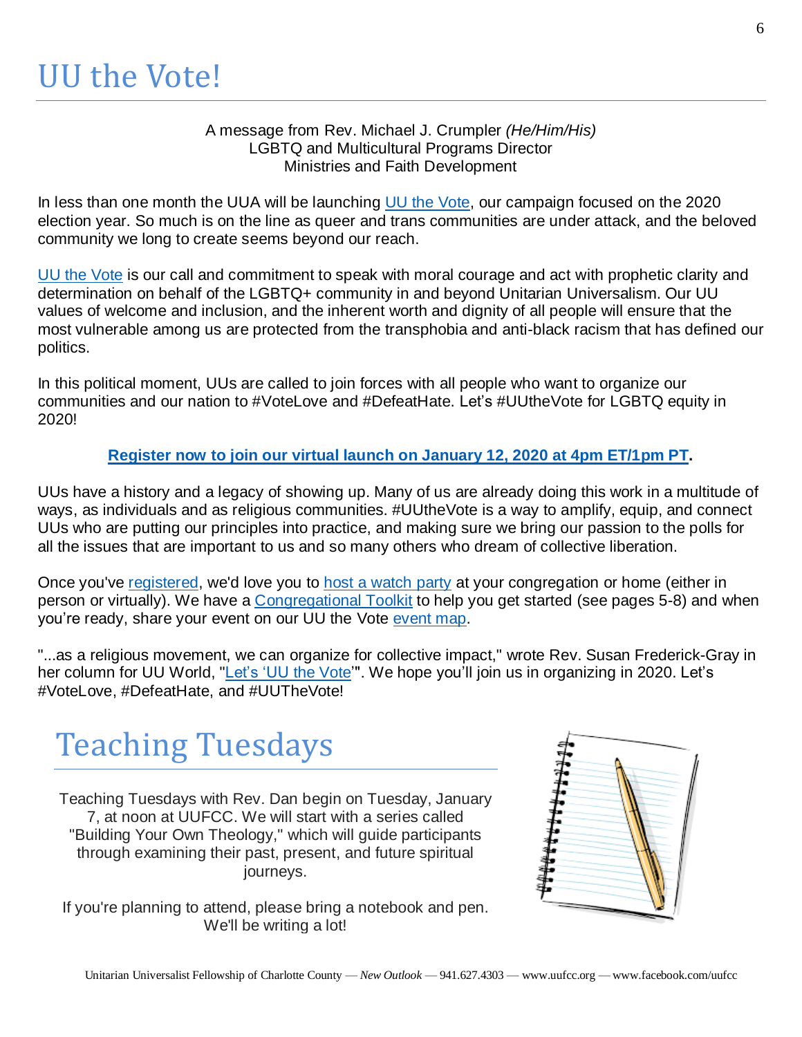### A message from Rev. Michael J. Crumpler *(He/Him/His)* LGBTQ and Multicultural Programs Director Ministries and Faith Development

In less than one month the UUA will be launching UU the [Vote,](https://uua874.acemlna.com/lt.php?s=a916e5aac9574f8d9cfdbff48f8652c1&i=1791A3905A31A65123) our campaign focused on the 2020 election year. So much is on the line as queer and trans communities are under attack, and the beloved community we long to create seems beyond our reach.

UU the [Vote](https://uua874.acemlna.com/lt.php?s=a916e5aac9574f8d9cfdbff48f8652c1&i=1791A3905A31A65123) is our call and commitment to speak with moral courage and act with prophetic clarity and determination on behalf of the LGBTQ+ community in and beyond Unitarian Universalism. Our UU values of welcome and inclusion, and the inherent worth and dignity of all people will ensure that the most vulnerable among us are protected from the transphobia and anti-black racism that has defined our politics.

In this political moment, UUs are called to join forces with all people who want to organize our communities and our nation to #VoteLove and #DefeatHate. Let's #UUtheVote for LGBTQ equity in 2020!

## **[Register](https://uua874.acemlna.com/lt.php?s=a916e5aac9574f8d9cfdbff48f8652c1&i=1791A3905A31A65124) now to join our virtual launch on January 12, 2020 at 4pm ET/1pm PT.**

UUs have a history and a legacy of showing up. Many of us are already doing this work in a multitude of ways, as individuals and as religious communities. #UUtheVote is a way to amplify, equip, and connect UUs who are putting our principles into practice, and making sure we bring our passion to the polls for all the issues that are important to us and so many others who dream of collective liberation.

Once you've [registered,](https://uua874.acemlna.com/lt.php?s=a916e5aac9574f8d9cfdbff48f8652c1&i=1791A3905A31A65124) we'd love you to host a [watch](https://uua874.acemlna.com/lt.php?s=a916e5aac9574f8d9cfdbff48f8652c1&i=1791A3905A31A65125) party at your congregation or home (either in person or virtually). We have a [Congregational](https://uua874.acemlna.com/lt.php?s=a916e5aac9574f8d9cfdbff48f8652c1&i=1791A3905A31A65126) Toolkit to help you get started (see pages 5-8) and when you're ready, share your event on our UU the Vote [event](https://uua874.acemlna.com/lt.php?s=a916e5aac9574f8d9cfdbff48f8652c1&i=1791A3905A31A65127) map.

"...as a religious movement, we can organize for collective impact," wrote Rev. Susan Frederick-Gray in her column for UU World, ["Let's](https://uua874.acemlna.com/lt.php?s=a916e5aac9574f8d9cfdbff48f8652c1&i=1791A3905A31A65128) 'UU the Vote'". We hope you'll join us in organizing in 2020. Let's #VoteLove, #DefeatHate, and #UUTheVote!

# Teaching Tuesdays

Teaching Tuesdays with Rev. Dan begin on Tuesday, January 7, at noon at UUFCC. We will start with a series called "Building Your Own Theology," which will guide participants through examining their past, present, and future spiritual journeys.

If you're planning to attend, please bring a notebook and pen. We'll be writing a lot!

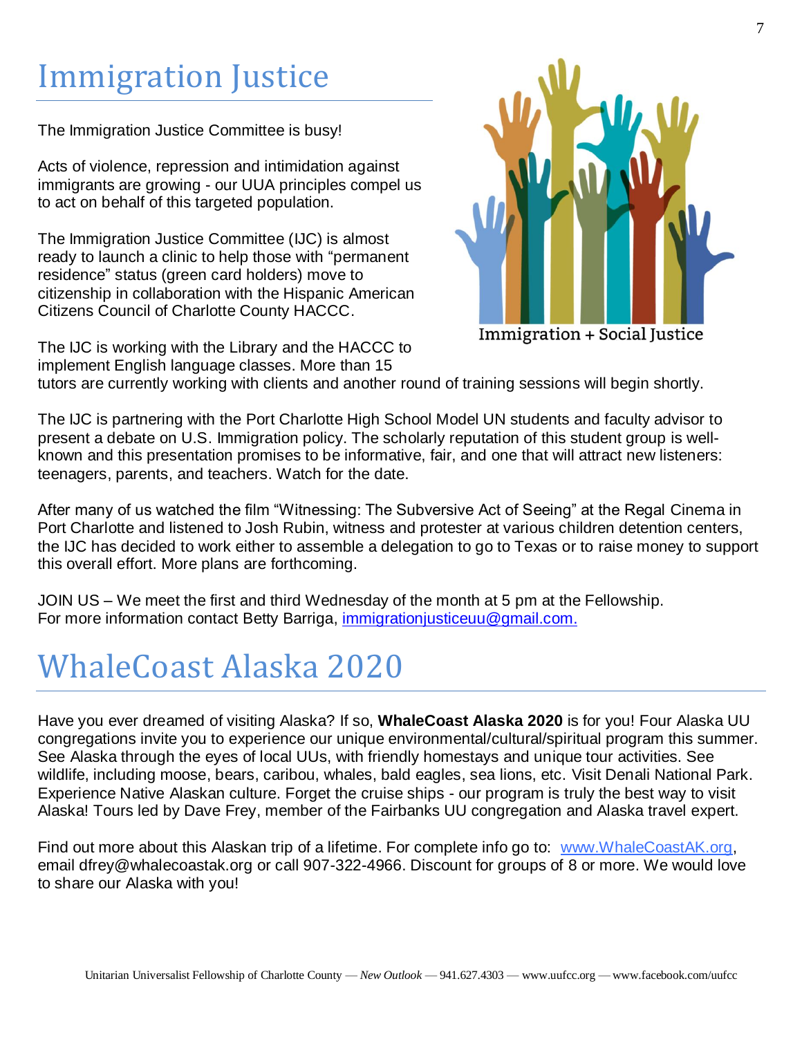# Immigration Justice

The Immigration Justice Committee is busy!

Acts of violence, repression and intimidation against immigrants are growing - our UUA principles compel us to act on behalf of this targeted population.

The Immigration Justice Committee (IJC) is almost ready to launch a clinic to help those with "permanent residence" status (green card holders) move to citizenship in collaboration with the Hispanic American Citizens Council of Charlotte County HACCC.

The IJC is working with the Library and the HACCC to implement English language classes. More than 15



Immigration + Social Justice

tutors are currently working with clients and another round of training sessions will begin shortly.

The IJC is partnering with the Port Charlotte High School Model UN students and faculty advisor to present a debate on U.S. Immigration policy. The scholarly reputation of this student group is wellknown and this presentation promises to be informative, fair, and one that will attract new listeners: teenagers, parents, and teachers. Watch for the date.

After many of us watched the film "Witnessing: The Subversive Act of Seeing" at the Regal Cinema in Port Charlotte and listened to Josh Rubin, witness and protester at various children detention centers, the IJC has decided to work either to assemble a delegation to go to Texas or to raise money to support this overall effort. More plans are forthcoming.

JOIN US – We meet the first and third Wednesday of the month at 5 pm at the Fellowship. For more information contact Betty Barriga, [immigrationjusticeuu@gmail.com.](mailto:immigrationjusticeuu@gmail.com)

# WhaleCoast Alaska 2020

Have you ever dreamed of visiting Alaska? If so, **WhaleCoast Alaska 2020** is for you! Four Alaska UU congregations invite you to experience our unique environmental/cultural/spiritual program this summer. See Alaska through the eyes of local UUs, with friendly homestays and unique tour activities. See wildlife, including moose, bears, caribou, whales, bald eagles, sea lions, etc. Visit Denali National Park. Experience Native Alaskan culture. Forget the cruise ships - our program is truly the best way to visit Alaska! Tours led by Dave Frey, member of the Fairbanks UU congregation and Alaska travel expert.

Find out more about this Alaskan trip of a lifetime. For complete info go to: [www.WhaleCoastAK.org,](http://www.whalecoastak.org/) email dfrey@whalecoastak.org or call 907-322-4966. Discount for groups of 8 or more. We would love to share our Alaska with you!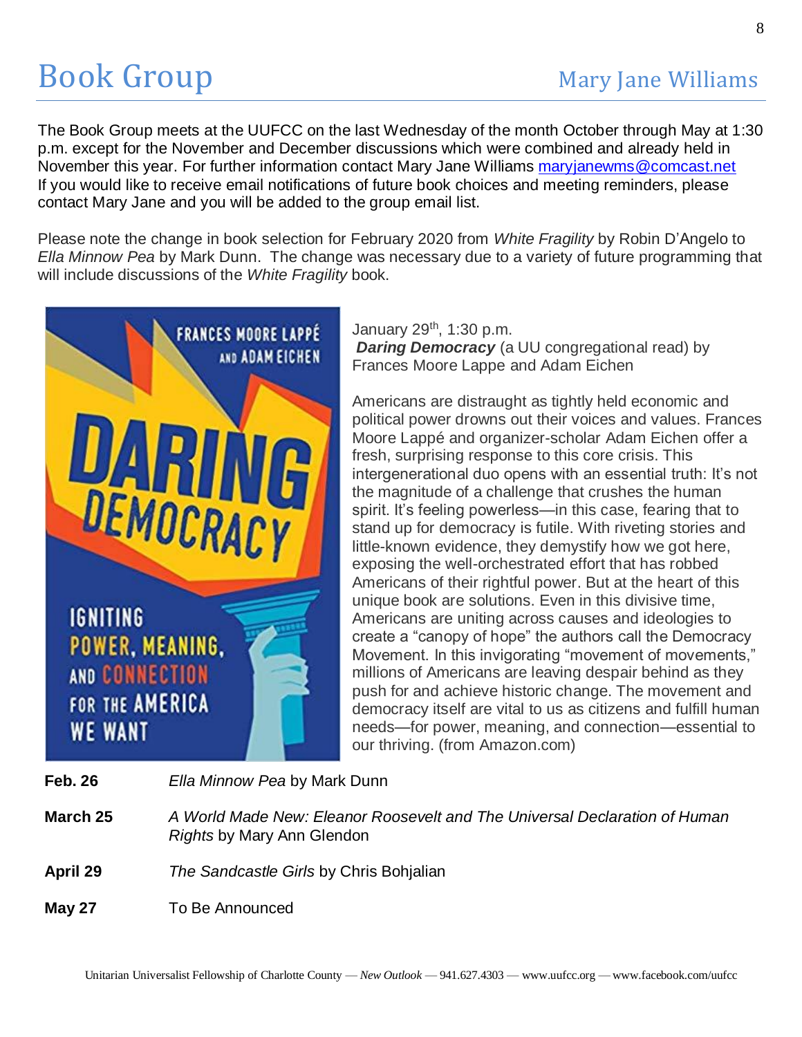The Book Group meets at the UUFCC on the last Wednesday of the month October through May at 1:30 p.m. except for the November and December discussions which were combined and already held in November this year. For further information contact Mary Jane Williams [maryjanewms@comcast.net](mailto:maryjanewms@comcast.net) If you would like to receive email notifications of future book choices and meeting reminders, please contact Mary Jane and you will be added to the group email list.

Please note the change in book selection for February 2020 from *White Fragility* by Robin D'Angelo to *Ella Minnow Pea* by Mark Dunn. The change was necessary due to a variety of future programming that will include discussions of the *White Fragility* book.



January  $29<sup>th</sup>$ , 1:30 p.m.

*Daring Democracy* (a UU congregational read) by Frances Moore Lappe and Adam Eichen

Americans are distraught as tightly held economic and political power drowns out their voices and values. Frances Moore Lappé and organizer-scholar Adam Eichen offer a fresh, surprising response to this core crisis. This intergenerational duo opens with an essential truth: It's not the magnitude of a challenge that crushes the human spirit. It's feeling powerless—in this case, fearing that to stand up for democracy is futile. With riveting stories and little-known evidence, they demystify how we got here, exposing the well-orchestrated effort that has robbed Americans of their rightful power. But at the heart of this unique book are solutions. Even in this divisive time, Americans are uniting across causes and ideologies to create a "canopy of hope" the authors call the Democracy Movement. In this invigorating "movement of movements," millions of Americans are leaving despair behind as they push for and achieve historic change. The movement and democracy itself are vital to us as citizens and fulfill human needs—for power, meaning, and connection—essential to our thriving. (from Amazon.com)

- **Feb. 26** *Ella Minnow Pea* by Mark Dunn
- **March 25** *A World Made New: Eleanor Roosevelt and The Universal Declaration of Human Rights* by Mary Ann Glendon
- **April 29** *The Sandcastle Girls* by Chris Bohjalian
- **May 27** To Be Announced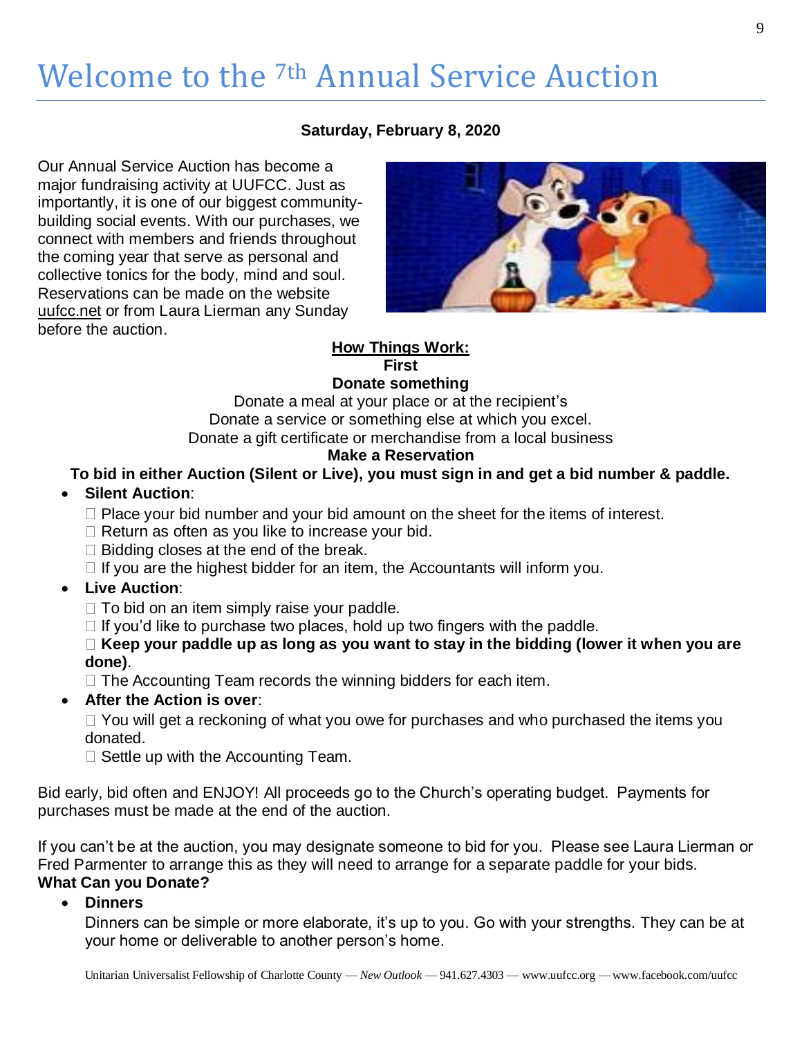# Welcome to the 7th Annual Service Auction

### **Saturday, February 8, 2020**

Our Annual Service Auction has become a major fundraising activity at UUFCC. Just as importantly, it is one of our biggest communitybuilding social events. With our purchases, we connect with members and friends throughout the coming year that serve as personal and collective tonics for the body, mind and soul. Reservations can be made on the website uufcc.net or from Laura Lierman any Sunday before the auction.



#### **How Things Work: First**

# **Donate something**

Donate a meal at your place or at the recipient's Donate a service or something else at which you excel. Donate a gift certificate or merchandise from a local business

### **Make a Reservation**

### **To bid in either Auction (Silent or Live), you must sign in and get a bid number & paddle.**

### • **Silent Auction**:

- $\Box$  Place your bid number and your bid amount on the sheet for the items of interest.
- $\Box$  Return as often as you like to increase your bid.
- $\Box$  Bidding closes at the end of the break.
- $\Box$  If you are the highest bidder for an item, the Accountants will inform you.

### • **Live Auction**:

- $\Box$  To bid on an item simply raise your paddle.
- $\Box$  If you'd like to purchase two places, hold up two fingers with the paddle.

### **Keep your paddle up as long as you want to stay in the bidding (lower it when you are done)**.

- $\Box$  The Accounting Team records the winning bidders for each item.
- **After the Action is over**:

 $\Box$  You will get a reckoning of what you owe for purchases and who purchased the items you donated.

 $\Box$  Settle up with the Accounting Team.

Bid early, bid often and ENJOY! All proceeds go to the Church's operating budget. Payments for purchases must be made at the end of the auction.

If you can't be at the auction, you may designate someone to bid for you. Please see Laura Lierman or Fred Parmenter to arrange this as they will need to arrange for a separate paddle for your bids. **What Can you Donate?**

### • **Dinners**

Dinners can be simple or more elaborate, it's up to you. Go with your strengths. They can be at your home or deliverable to another person's home.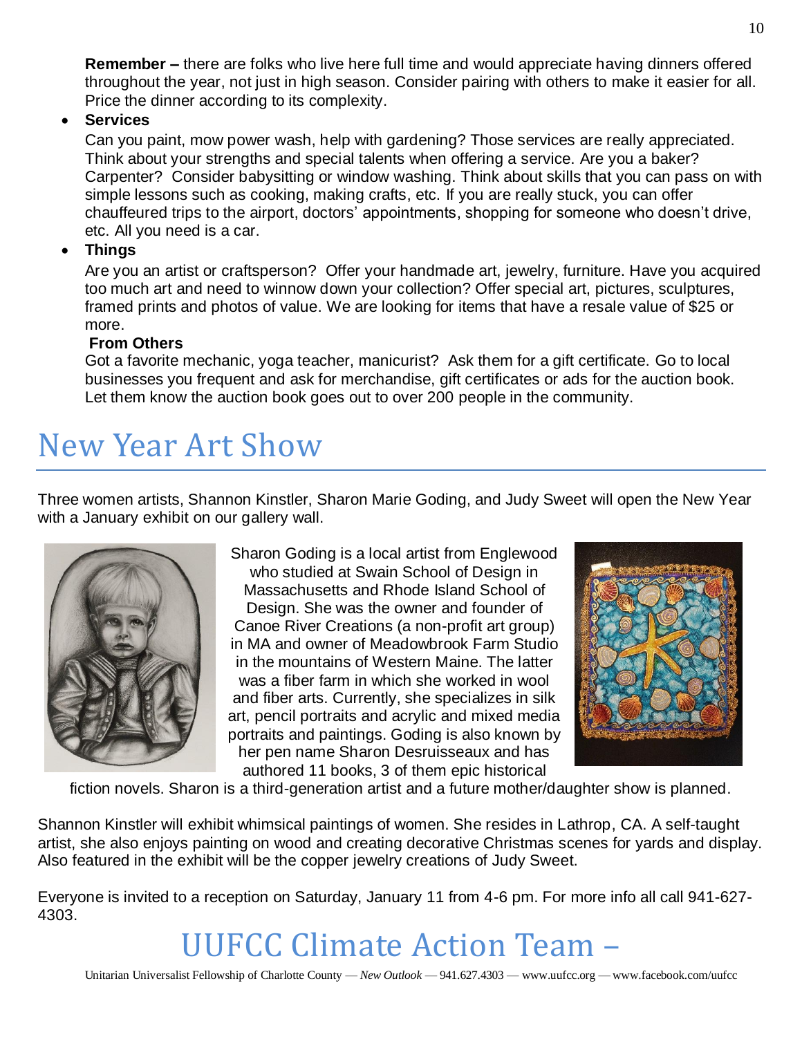**Remember –** there are folks who live here full time and would appreciate having dinners offered throughout the year, not just in high season. Consider pairing with others to make it easier for all. Price the dinner according to its complexity.

• **Services**

Can you paint, mow power wash, help with gardening? Those services are really appreciated. Think about your strengths and special talents when offering a service. Are you a baker? Carpenter? Consider babysitting or window washing. Think about skills that you can pass on with simple lessons such as cooking, making crafts, etc. If you are really stuck, you can offer chauffeured trips to the airport, doctors' appointments, shopping for someone who doesn't drive, etc. All you need is a car.

### • **Things**

Are you an artist or craftsperson? Offer your handmade art, jewelry, furniture. Have you acquired too much art and need to winnow down your collection? Offer special art, pictures, sculptures, framed prints and photos of value. We are looking for items that have a resale value of \$25 or more.

### **From Others**

Got a favorite mechanic, yoga teacher, manicurist? Ask them for a gift certificate. Go to local businesses you frequent and ask for merchandise, gift certificates or ads for the auction book. Let them know the auction book goes out to over 200 people in the community.

# New Year Art Show

Three women artists, Shannon Kinstler, Sharon Marie Goding, and Judy Sweet will open the New Year with a January exhibit on our gallery wall.



Sharon Goding is a local artist from Englewood who studied at Swain School of Design in Massachusetts and Rhode Island School of Design. She was the owner and founder of Canoe River Creations (a non-profit art group) in MA and owner of Meadowbrook Farm Studio in the mountains of Western Maine. The latter was a fiber farm in which she worked in wool and fiber arts. Currently, she specializes in silk art, pencil portraits and acrylic and mixed media portraits and paintings. Goding is also known by her pen name Sharon Desruisseaux and has authored 11 books, 3 of them epic historical



fiction novels. Sharon is a third-generation artist and a future mother/daughter show is planned.

Shannon Kinstler will exhibit whimsical paintings of women. She resides in Lathrop, CA. A self-taught artist, she also enjoys painting on wood and creating decorative Christmas scenes for yards and display. Also featured in the exhibit will be the copper jewelry creations of Judy Sweet.

Everyone is invited to a reception on Saturday, January 11 from 4-6 pm. For more info all call 941-627- 4303.

UUFCC Climate Action Team –

10

Unitarian Universalist Fellowship of Charlotte County — *New Outlook* — 941.627.4303 — www.uufcc.org — www.facebook.com/uufcc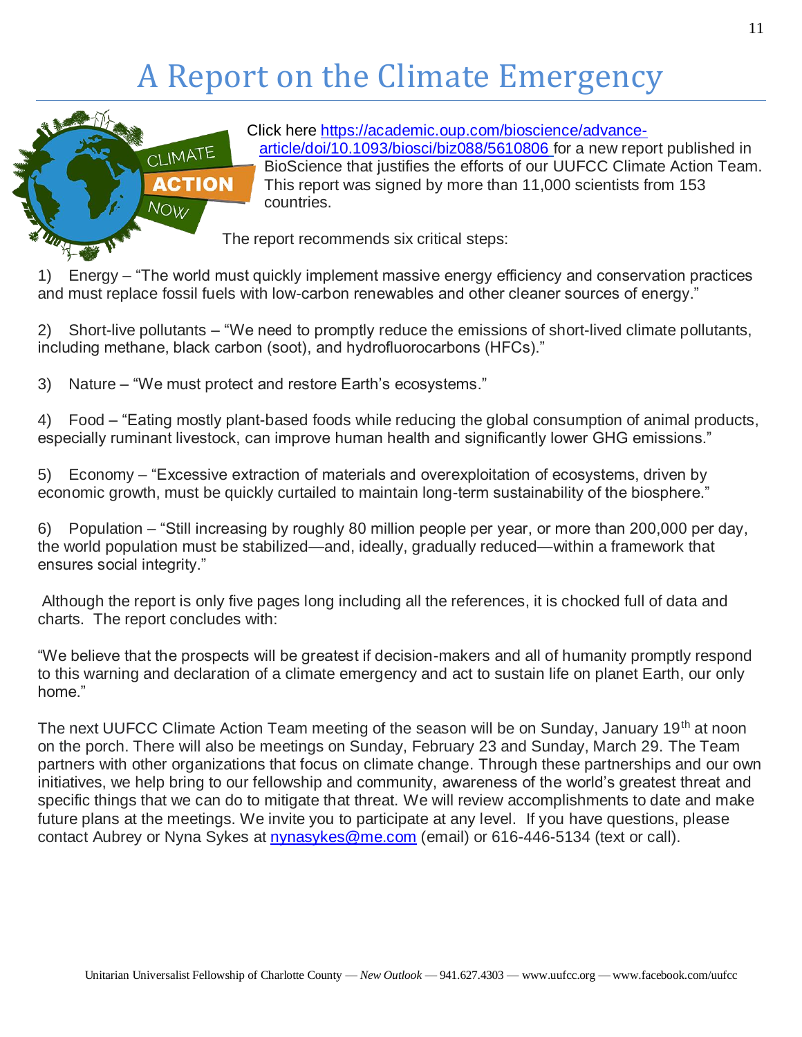# A Report on the Climate Emergency



Click here [https://academic.oup.com/bioscience/advance](https://academic.oup.com/bioscience/advance-article/doi/10.1093/biosci/biz088/5610806)[article/doi/10.1093/biosci/biz088/5610806](https://academic.oup.com/bioscience/advance-article/doi/10.1093/biosci/biz088/5610806) for a new report published in BioScience that justifies the efforts of our UUFCC Climate Action Team. This report was signed by more than 11,000 scientists from 153 countries.

The report recommends six critical steps:

1) Energy – "The world must quickly implement massive energy efficiency and conservation practices and must replace fossil fuels with low-carbon renewables and other cleaner sources of energy."

2) Short-live pollutants – "We need to promptly reduce the emissions of short-lived climate pollutants, including methane, black carbon (soot), and hydrofluorocarbons (HFCs)."

3) Nature – "We must protect and restore Earth's ecosystems."

4) Food – "Eating mostly plant-based foods while reducing the global consumption of animal products, especially ruminant livestock, can improve human health and significantly lower GHG emissions."

5) Economy – "Excessive extraction of materials and overexploitation of ecosystems, driven by economic growth, must be quickly curtailed to maintain long-term sustainability of the biosphere."

6) Population – "Still increasing by roughly 80 million people per year, or more than 200,000 per day, the world population must be stabilized—and, ideally, gradually reduced—within a framework that ensures social integrity."

Although the report is only five pages long including all the references, it is chocked full of data and charts. The report concludes with:

"We believe that the prospects will be greatest if decision-makers and all of humanity promptly respond to this warning and declaration of a climate emergency and act to sustain life on planet Earth, our only home."

The next UUFCC Climate Action Team meeting of the season will be on Sunday, January 19<sup>th</sup> at noon on the porch. There will also be meetings on Sunday, February 23 and Sunday, March 29. The Team partners with other organizations that focus on climate change. Through these partnerships and our own initiatives, we help bring to our fellowship and community, awareness of the world's greatest threat and specific things that we can do to mitigate that threat. We will review accomplishments to date and make future plans at the meetings. We invite you to participate at any level. If you have questions, please contact Aubrey or Nyna Sykes at [nynasykes@me.com](mailto:nynasykes@me.com) (email) or 616-446-5134 (text or call).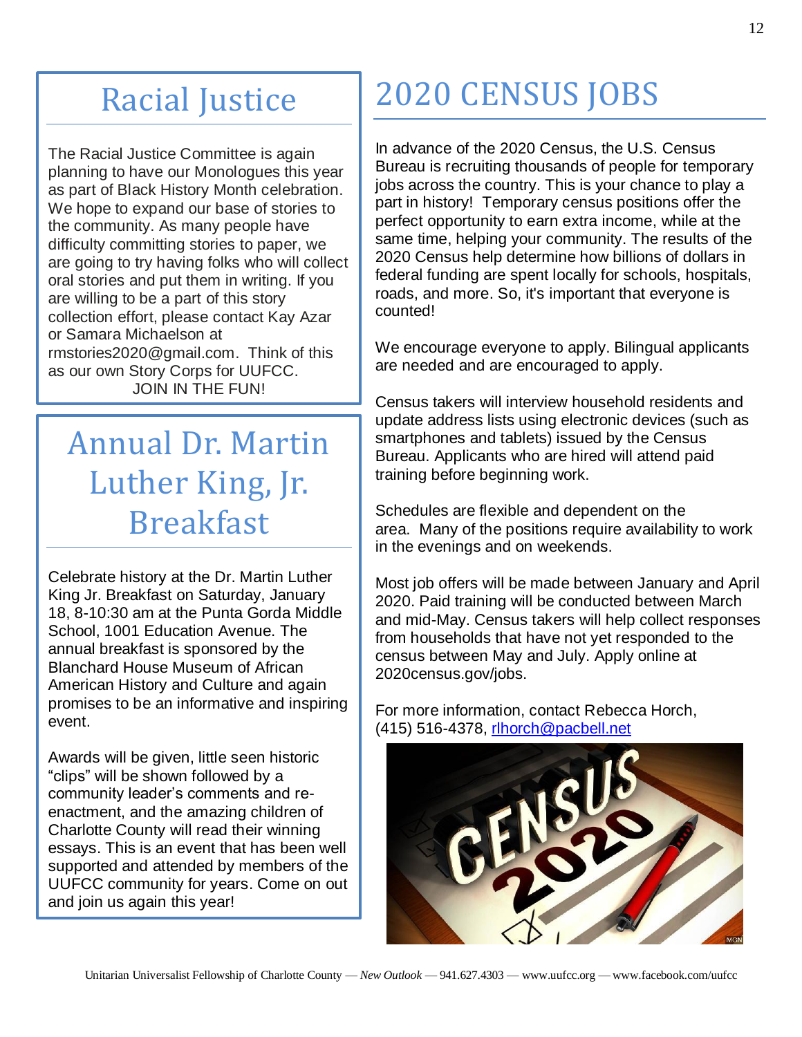# Racial Justice

The Racial Justice Committee is again planning to have our Monologues this year as part of Black History Month celebration. We hope to expand our base of stories to the community. As many people have difficulty committing stories to paper, we are going to try having folks who will collect oral stories and put them in writing. If you are willing to be a part of this story collection effort, please contact Kay Azar or Samara Michaelson at rmstories2020@gmail.com. Think of this as our own Story Corps for UUFCC. JOIN IN THE FUN!

# Annual Dr. Martin Luther King, Jr. Breakfast

Celebrate history at the Dr. Martin Luther King Jr. Breakfast on Saturday, January 18, 8-10:30 am at the Punta Gorda Middle School, 1001 Education Avenue. The annual breakfast is sponsored by the Blanchard House Museum of African American History and Culture and again promises to be an informative and inspiring event.

Awards will be given, little seen historic "clips" will be shown followed by a community leader's comments and reenactment, and the amazing children of Charlotte County will read their winning essays. This is an event that has been well supported and attended by members of the UUFCC community for years. Come on out and join us again this year!

# 2020 CENSUS JOBS

In advance of the 2020 Census, the U.S. Census Bureau is recruiting thousands of people for temporary jobs across the country. This is your chance to play a part in history! Temporary census positions offer the perfect opportunity to earn extra income, while at the same time, helping your community. The results of the 2020 Census help determine how billions of dollars in federal funding are spent locally for schools, hospitals, roads, and more. So, it's important that everyone is counted!

We encourage everyone to apply. Bilingual applicants are needed and are encouraged to apply.

Census takers will interview household residents and update address lists using electronic devices (such as smartphones and tablets) issued by the Census Bureau. Applicants who are hired will attend paid training before beginning work.

Schedules are flexible and dependent on the area. Many of the positions require availability to work in the evenings and on weekends.

Most job offers will be made between January and April 2020. Paid training will be conducted between March and mid-May. Census takers will help collect responses from households that have not yet responded to the census between May and July. Apply online at 2020census.gov/jobs.

For more information, contact Rebecca Horch, (415) 516-4378, [rlhorch@pacbell.net](mailto:rlhorch@pacbell.net)